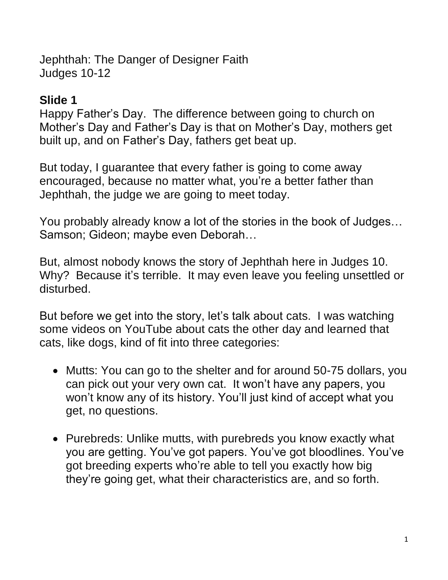Jephthah: The Danger of Designer Faith Judges 10-12

## **Slide 1**

Happy Father's Day. The difference between going to church on Mother's Day and Father's Day is that on Mother's Day, mothers get built up, and on Father's Day, fathers get beat up.

But today, I guarantee that every father is going to come away encouraged, because no matter what, you're a better father than Jephthah, the judge we are going to meet today.

You probably already know a lot of the stories in the book of Judges… Samson; Gideon; maybe even Deborah…

But, almost nobody knows the story of Jephthah here in Judges 10. Why? Because it's terrible. It may even leave you feeling unsettled or disturbed.

But before we get into the story, let's talk about cats. I was watching some videos on YouTube about cats the other day and learned that cats, like dogs, kind of fit into three categories:

- Mutts: You can go to the shelter and for around 50-75 dollars, you can pick out your very own cat. It won't have any papers, you won't know any of its history. You'll just kind of accept what you get, no questions.
- Purebreds: Unlike mutts, with purebreds you know exactly what you are getting. You've got papers. You've got bloodlines. You've got breeding experts who're able to tell you exactly how big they're going get, what their characteristics are, and so forth.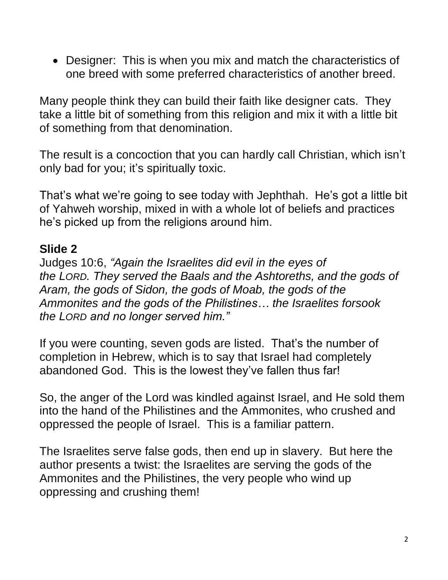• Designer: This is when you mix and match the characteristics of one breed with some preferred characteristics of another breed.

Many people think they can build their faith like designer cats. They take a little bit of something from this religion and mix it with a little bit of something from that denomination.

The result is a concoction that you can hardly call Christian, which isn't only bad for you; it's spiritually toxic.

That's what we're going to see today with Jephthah. He's got a little bit of Yahweh worship, mixed in with a whole lot of beliefs and practices he's picked up from the religions around him.

#### **Slide 2**

Judges 10:6, *"Again the Israelites did evil in the eyes of the LORD. They served the Baals and the Ashtoreths, and the gods of Aram, the gods of Sidon, the gods of Moab, the gods of the Ammonites and the gods of the Philistines… the Israelites forsook the LORD and no longer served him."*

If you were counting, seven gods are listed. That's the number of completion in Hebrew, which is to say that Israel had completely abandoned God. This is the lowest they've fallen thus far!

So, the anger of the Lord was kindled against Israel, and He sold them into the hand of the Philistines and the Ammonites, who crushed and oppressed the people of Israel. This is a familiar pattern.

The Israelites serve false gods, then end up in slavery. But here the author presents a twist: the Israelites are serving the gods of the Ammonites and the Philistines, the very people who wind up oppressing and crushing them!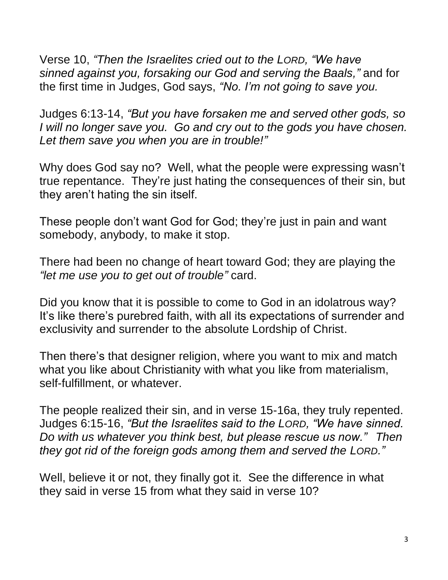Verse 10, *"Then the Israelites cried out to the LORD, "We have sinned against you, forsaking our God and serving the Baals,"* and for the first time in Judges, God says, *"No. I'm not going to save you.*

Judges 6:13-14, *"But you have forsaken me and served other gods, so I will no longer save you. Go and cry out to the gods you have chosen. Let them save you when you are in trouble!"*

Why does God say no? Well, what the people were expressing wasn't true repentance. They're just hating the consequences of their sin, but they aren't hating the sin itself.

These people don't want God for God; they're just in pain and want somebody, anybody, to make it stop.

There had been no change of heart toward God; they are playing the *"let me use you to get out of trouble"* card.

Did you know that it is possible to come to God in an idolatrous way? It's like there's purebred faith, with all its expectations of surrender and exclusivity and surrender to the absolute Lordship of Christ.

Then there's that designer religion, where you want to mix and match what you like about Christianity with what you like from materialism, self-fulfillment, or whatever.

The people realized their sin, and in verse 15-16a, they truly repented. Judges 6:15-16, *"But the Israelites said to the LORD, "We have sinned. Do with us whatever you think best, but please rescue us now." Then they got rid of the foreign gods among them and served the LORD."*

Well, believe it or not, they finally got it. See the difference in what they said in verse 15 from what they said in verse 10?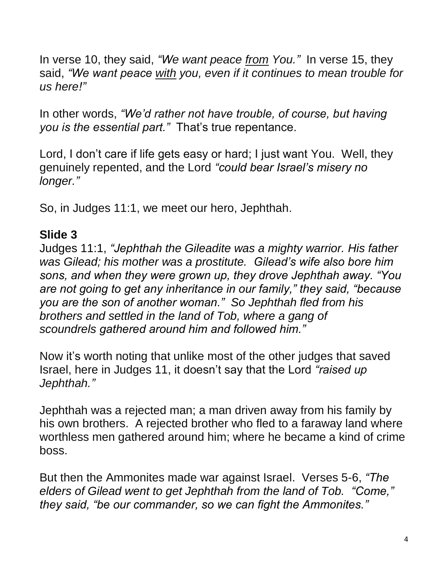In verse 10, they said, *"We want peace from You."* In verse 15, they said, *"We want peace with you, even if it continues to mean trouble for us here!"*

In other words, *"We'd rather not have trouble, of course, but having you is the essential part."* That's true repentance.

Lord, I don't care if life gets easy or hard; I just want You. Well, they genuinely repented, and the Lord *"could bear Israel's misery no longer."*

So, in Judges 11:1, we meet our hero, Jephthah.

## **Slide 3**

Judges 11:1, *"Jephthah the Gileadite was a mighty warrior. His father was Gilead; his mother was a prostitute. Gilead's wife also bore him sons, and when they were grown up, they drove Jephthah away. "You are not going to get any inheritance in our family," they said, "because you are the son of another woman." So Jephthah fled from his brothers and settled in the land of Tob, where a gang of scoundrels gathered around him and followed him."*

Now it's worth noting that unlike most of the other judges that saved Israel, here in Judges 11, it doesn't say that the Lord *"raised up Jephthah."*

Jephthah was a rejected man; a man driven away from his family by his own brothers. A rejected brother who fled to a faraway land where worthless men gathered around him; where he became a kind of crime boss.

But then the Ammonites made war against Israel. Verses 5-6, *"The elders of Gilead went to get Jephthah from the land of Tob. "Come," they said, "be our commander, so we can fight the Ammonites."*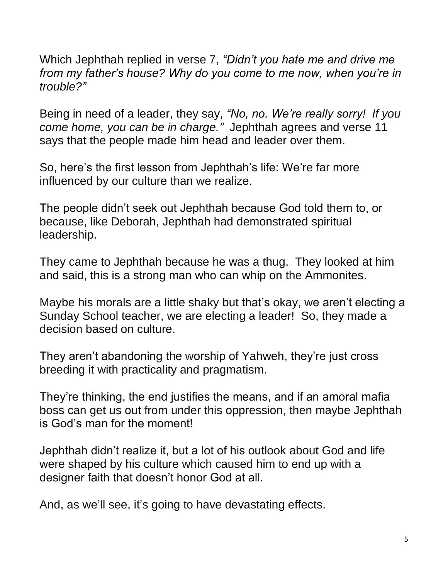Which Jephthah replied in verse 7, *"Didn't you hate me and drive me from my father's house? Why do you come to me now, when you're in trouble?"*

Being in need of a leader, they say, *"No, no. We're really sorry! If you come home, you can be in charge."* Jephthah agrees and verse 11 says that the people made him head and leader over them.

So, here's the first lesson from Jephthah's life: We're far more influenced by our culture than we realize.

The people didn't seek out Jephthah because God told them to, or because, like Deborah, Jephthah had demonstrated spiritual leadership.

They came to Jephthah because he was a thug. They looked at him and said, this is a strong man who can whip on the Ammonites.

Maybe his morals are a little shaky but that's okay, we aren't electing a Sunday School teacher, we are electing a leader! So, they made a decision based on culture.

They aren't abandoning the worship of Yahweh, they're just cross breeding it with practicality and pragmatism.

They're thinking, the end justifies the means, and if an amoral mafia boss can get us out from under this oppression, then maybe Jephthah is God's man for the moment!

Jephthah didn't realize it, but a lot of his outlook about God and life were shaped by his culture which caused him to end up with a designer faith that doesn't honor God at all.

And, as we'll see, it's going to have devastating effects.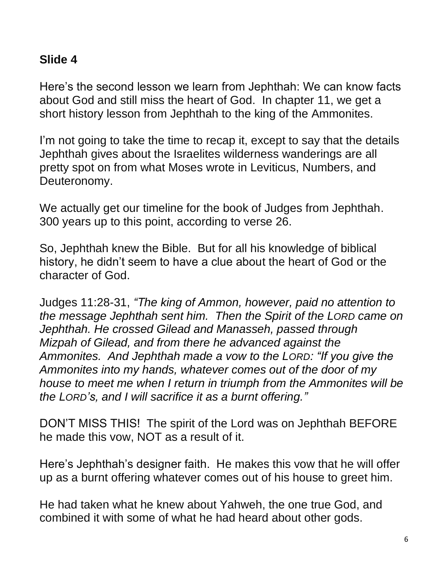## **Slide 4**

Here's the second lesson we learn from Jephthah: We can know facts about God and still miss the heart of God. In chapter 11, we get a short history lesson from Jephthah to the king of the Ammonites.

I'm not going to take the time to recap it, except to say that the details Jephthah gives about the Israelites wilderness wanderings are all pretty spot on from what Moses wrote in Leviticus, Numbers, and Deuteronomy.

We actually get our timeline for the book of Judges from Jephthah. 300 years up to this point, according to verse 26.

So, Jephthah knew the Bible. But for all his knowledge of biblical history, he didn't seem to have a clue about the heart of God or the character of God.

Judges 11:28-31, *"The king of Ammon, however, paid no attention to the message Jephthah sent him. Then the Spirit of the LORD came on Jephthah. He crossed Gilead and Manasseh, passed through Mizpah of Gilead, and from there he advanced against the Ammonites. And Jephthah made a vow to the LORD: "If you give the Ammonites into my hands, whatever comes out of the door of my house to meet me when I return in triumph from the Ammonites will be the LORD's, and I will sacrifice it as a burnt offering."*

DON'T MISS THIS! The spirit of the Lord was on Jephthah BEFORE he made this vow, NOT as a result of it.

Here's Jephthah's designer faith. He makes this vow that he will offer up as a burnt offering whatever comes out of his house to greet him.

He had taken what he knew about Yahweh, the one true God, and combined it with some of what he had heard about other gods.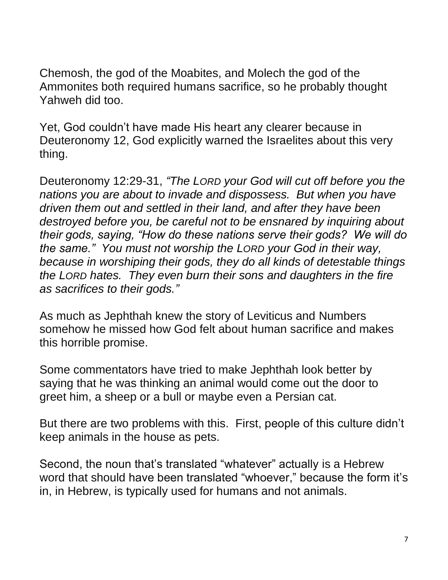Chemosh, the god of the Moabites, and Molech the god of the Ammonites both required humans sacrifice, so he probably thought Yahweh did too.

Yet, God couldn't have made His heart any clearer because in Deuteronomy 12, God explicitly warned the Israelites about this very thing.

Deuteronomy 12:29-31, *"The LORD your God will cut off before you the nations you are about to invade and dispossess. But when you have driven them out and settled in their land, and after they have been destroyed before you, be careful not to be ensnared by inquiring about their gods, saying, "How do these nations serve their gods? We will do the same." You must not worship the LORD your God in their way, because in worshiping their gods, they do all kinds of detestable things the LORD hates. They even burn their sons and daughters in the fire as sacrifices to their gods."*

As much as Jephthah knew the story of Leviticus and Numbers somehow he missed how God felt about human sacrifice and makes this horrible promise.

Some commentators have tried to make Jephthah look better by saying that he was thinking an animal would come out the door to greet him, a sheep or a bull or maybe even a Persian cat.

But there are two problems with this. First, people of this culture didn't keep animals in the house as pets.

Second, the noun that's translated "whatever" actually is a Hebrew word that should have been translated "whoever," because the form it's in, in Hebrew, is typically used for humans and not animals.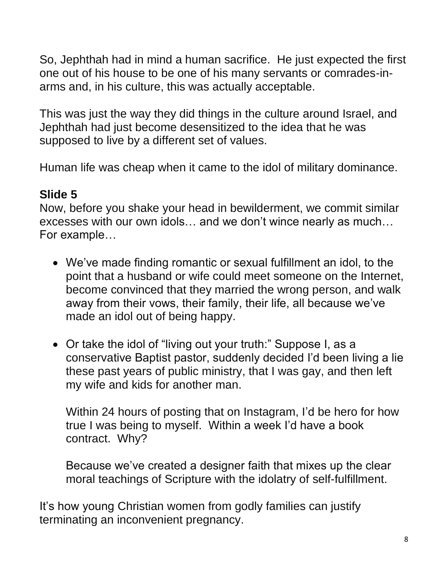So, Jephthah had in mind a human sacrifice. He just expected the first one out of his house to be one of his many servants or comrades-inarms and, in his culture, this was actually acceptable.

This was just the way they did things in the culture around Israel, and Jephthah had just become desensitized to the idea that he was supposed to live by a different set of values.

Human life was cheap when it came to the idol of military dominance.

# **Slide 5**

Now, before you shake your head in bewilderment, we commit similar excesses with our own idols… and we don't wince nearly as much… For example…

- We've made finding romantic or sexual fulfillment an idol, to the point that a husband or wife could meet someone on the Internet, become convinced that they married the wrong person, and walk away from their vows, their family, their life, all because we've made an idol out of being happy.
- Or take the idol of "living out your truth:" Suppose I, as a conservative Baptist pastor, suddenly decided I'd been living a lie these past years of public ministry, that I was gay, and then left my wife and kids for another man.

Within 24 hours of posting that on Instagram, I'd be hero for how true I was being to myself. Within a week I'd have a book contract. Why?

Because we've created a designer faith that mixes up the clear moral teachings of Scripture with the idolatry of self-fulfillment.

It's how young Christian women from godly families can justify terminating an inconvenient pregnancy.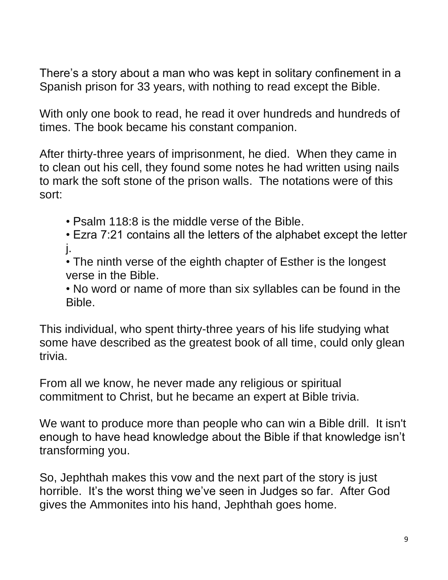There's a story about a man who was kept in solitary confinement in a Spanish prison for 33 years, with nothing to read except the Bible.

With only one book to read, he read it over hundreds and hundreds of times. The book became his constant companion.

After thirty-three years of imprisonment, he died. When they came in to clean out his cell, they found some notes he had written using nails to mark the soft stone of the prison walls. The notations were of this sort:

- Psalm 118:8 is the middle verse of the Bible.
- Ezra 7:21 contains all the letters of the alphabet except the letter j.
- The ninth verse of the eighth chapter of Esther is the longest verse in the Bible.
- No word or name of more than six syllables can be found in the Bible.

This individual, who spent thirty-three years of his life studying what some have described as the greatest book of all time, could only glean trivia.

From all we know, he never made any religious or spiritual commitment to Christ, but he became an expert at Bible trivia.

We want to produce more than people who can win a Bible drill. It isn't enough to have head knowledge about the Bible if that knowledge isn't transforming you.

So, Jephthah makes this vow and the next part of the story is just horrible. It's the worst thing we've seen in Judges so far. After God gives the Ammonites into his hand, Jephthah goes home.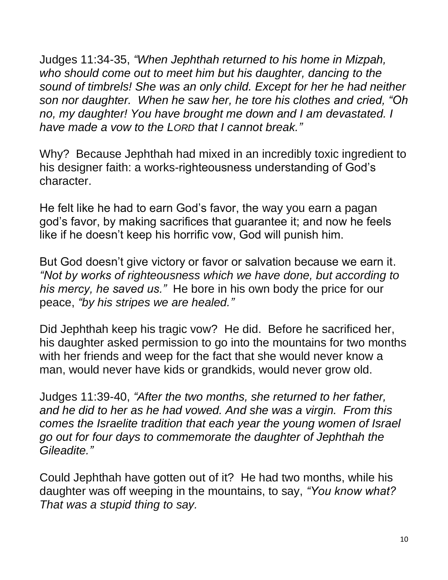Judges 11:34-35, *"When Jephthah returned to his home in Mizpah, who should come out to meet him but his daughter, dancing to the sound of timbrels! She was an only child. Except for her he had neither son nor daughter. When he saw her, he tore his clothes and cried, "Oh no, my daughter! You have brought me down and I am devastated. I have made a vow to the LORD that I cannot break."*

Why? Because Jephthah had mixed in an incredibly toxic ingredient to his designer faith: a works-righteousness understanding of God's character.

He felt like he had to earn God's favor, the way you earn a pagan god's favor, by making sacrifices that guarantee it; and now he feels like if he doesn't keep his horrific vow, God will punish him.

But God doesn't give victory or favor or salvation because we earn it. *"Not by works of righteousness which we have done, but according to his mercy, he saved us."* He bore in his own body the price for our peace, *"by his stripes we are healed."*

Did Jephthah keep his tragic vow? He did. Before he sacrificed her, his daughter asked permission to go into the mountains for two months with her friends and weep for the fact that she would never know a man, would never have kids or grandkids, would never grow old.

Judges 11:39-40, *"After the two months, she returned to her father, and he did to her as he had vowed. And she was a virgin. From this comes the Israelite tradition that each year the young women of Israel go out for four days to commemorate the daughter of Jephthah the Gileadite."*

Could Jephthah have gotten out of it? He had two months, while his daughter was off weeping in the mountains, to say, *"You know what? That was a stupid thing to say.*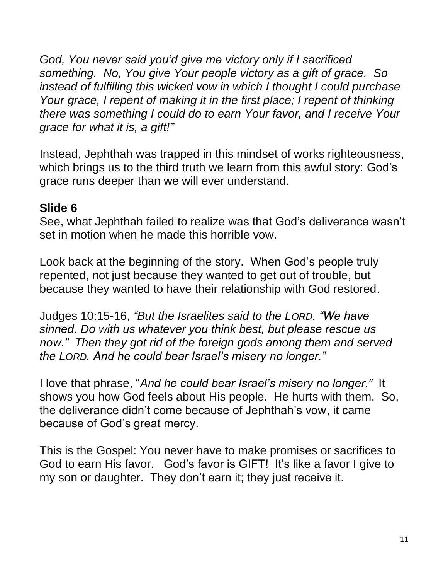*God, You never said you'd give me victory only if I sacrificed something. No, You give Your people victory as a gift of grace. So instead of fulfilling this wicked vow in which I thought I could purchase Your grace, I repent of making it in the first place; I repent of thinking there was something I could do to earn Your favor, and I receive Your grace for what it is, a gift!"*

Instead, Jephthah was trapped in this mindset of works righteousness, which brings us to the third truth we learn from this awful story: God's grace runs deeper than we will ever understand.

## **Slide 6**

See, what Jephthah failed to realize was that God's deliverance wasn't set in motion when he made this horrible vow.

Look back at the beginning of the story. When God's people truly repented, not just because they wanted to get out of trouble, but because they wanted to have their relationship with God restored.

Judges 10:15-16, *"But the Israelites said to the LORD, "We have sinned. Do with us whatever you think best, but please rescue us now." Then they got rid of the foreign gods among them and served the LORD. And he could bear Israel's misery no longer."*

I love that phrase, "*And he could bear Israel's misery no longer."* It shows you how God feels about His people. He hurts with them. So, the deliverance didn't come because of Jephthah's vow, it came because of God's great mercy.

This is the Gospel: You never have to make promises or sacrifices to God to earn His favor. God's favor is GIFT! It's like a favor I give to my son or daughter. They don't earn it; they just receive it.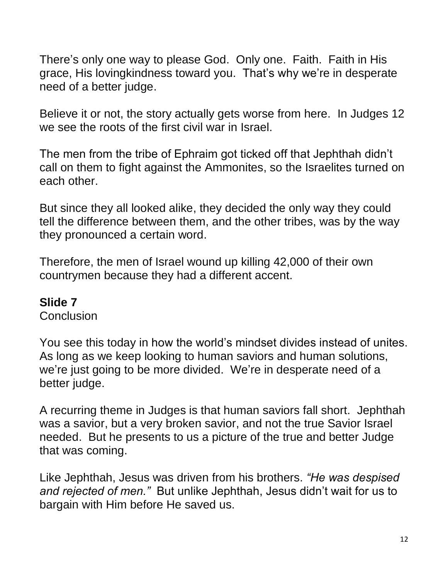There's only one way to please God. Only one. Faith. Faith in His grace, His lovingkindness toward you. That's why we're in desperate need of a better judge.

Believe it or not, the story actually gets worse from here. In Judges 12 we see the roots of the first civil war in Israel.

The men from the tribe of Ephraim got ticked off that Jephthah didn't call on them to fight against the Ammonites, so the Israelites turned on each other.

But since they all looked alike, they decided the only way they could tell the difference between them, and the other tribes, was by the way they pronounced a certain word.

Therefore, the men of Israel wound up killing 42,000 of their own countrymen because they had a different accent.

#### **Slide 7**

Conclusion

You see this today in how the world's mindset divides instead of unites. As long as we keep looking to human saviors and human solutions, we're just going to be more divided. We're in desperate need of a better judge.

A recurring theme in Judges is that human saviors fall short. Jephthah was a savior, but a very broken savior, and not the true Savior Israel needed. But he presents to us a picture of the true and better Judge that was coming.

Like Jephthah, Jesus was driven from his brothers. *"He was despised and rejected of men."* But unlike Jephthah, Jesus didn't wait for us to bargain with Him before He saved us.